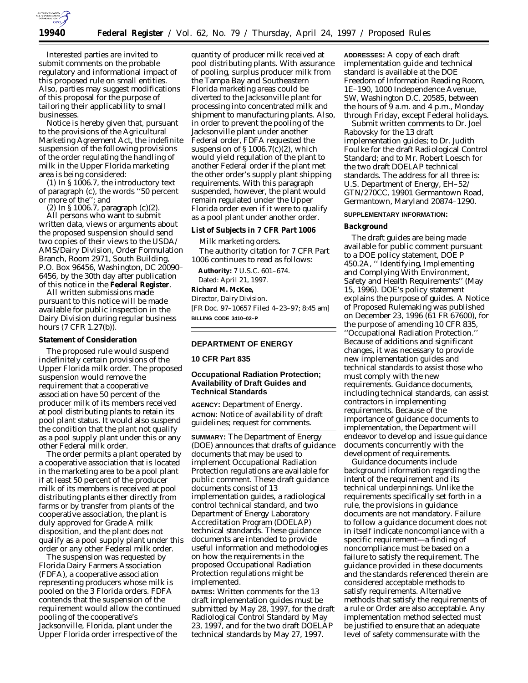

Interested parties are invited to submit comments on the probable regulatory and informational impact of this proposed rule on small entities. Also, parties may suggest modifications of this proposal for the purpose of tailoring their applicability to small businesses.

Notice is hereby given that, pursuant to the provisions of the Agricultural Marketing Agreement Act, the indefinite suspension of the following provisions of the order regulating the handling of milk in the Upper Florida marketing area is being considered:

 $(1)$  In § 1006.7, the introductory text of paragraph (c), the words ''50 percent or more of the''; and

(2) In § 1006.7, paragraph (c)(2).

All persons who want to submit written data, views or arguments about the proposed suspension should send two copies of their views to the USDA/ AMS/Dairy Division, Order Formulation Branch, Room 2971, South Building, P.O. Box 96456, Washington, DC 20090– 6456, by the 30th day after publication of this notice in the **Federal Register**.

All written submissions made pursuant to this notice will be made available for public inspection in the Dairy Division during regular business hours (7 CFR 1.27(b)).

# **Statement of Consideration**

The proposed rule would suspend indefinitely certain provisions of the Upper Florida milk order. The proposed suspension would remove the requirement that a cooperative association have 50 percent of the producer milk of its members received at pool distributing plants to retain its pool plant status. It would also suspend the condition that the plant not qualify as a pool supply plant under this or any other Federal milk order.

The order permits a plant operated by a cooperative association that is located in the marketing area to be a pool plant if at least 50 percent of the producer milk of its members is received at pool distributing plants either directly from farms or by transfer from plants of the cooperative association, the plant is duly approved for Grade A milk disposition, and the plant does not qualify as a pool supply plant under this order or any other Federal milk order.

The suspension was requested by Florida Dairy Farmers Association (FDFA), a cooperative association representing producers whose milk is pooled on the 3 Florida orders. FDFA contends that the suspension of the requirement would allow the continued pooling of the cooperative's Jacksonville, Florida, plant under the Upper Florida order irrespective of the

quantity of producer milk received at pool distributing plants. With assurance of pooling, surplus producer milk from the Tampa Bay and Southeastern Florida marketing areas could be diverted to the Jacksonville plant for processing into concentrated milk and shipment to manufacturing plants. Also, in order to prevent the pooling of the Jacksonville plant under another Federal order, FDFA requested the suspension of § 1006.7(c)(2), which would yield regulation of the plant to another Federal order if the plant met the other order's supply plant shipping requirements. With this paragraph suspended, however, the plant would remain regulated under the Upper Florida order even if it were to qualify as a pool plant under another order.

#### **List of Subjects in 7 CFR Part 1006**

Milk marketing orders. The authority citation for 7 CFR Part 1006 continues to read as follows:

**Authority:** 7 U.S.C. 601–674. Dated: April 21, 1997.

# **Richard M. McKee,**

*Director, Dairy Division.* [FR Doc. 97–10657 Filed 4–23–97; 8:45 am] **BILLING CODE 3410–02–P**

#### **DEPARTMENT OF ENERGY**

#### **10 CFR Part 835**

# **Occupational Radiation Protection; Availability of Draft Guides and Technical Standards**

**AGENCY:** Department of Energy. **ACTION:** Notice of availability of draft guidelines; request for comments.

**SUMMARY:** The Department of Energy (DOE) announces that drafts of guidance documents that may be used to implement Occupational Radiation Protection regulations are available for public comment. These draft guidance documents consist of 13 implementation guides, a radiological control technical standard, and two Department of Energy Laboratory Accreditation Program (DOELAP) technical standards. These guidance documents are intended to provide useful information and methodologies on how the requirements in the proposed Occupational Radiation Protection regulations might be implemented.

**DATES:** Written comments for the 13 draft implementation guides must be submitted by May 28, 1997, for the draft Radiological Control Standard by May 23, 1997, and for the two draft DOELAP technical standards by May 27, 1997.

**ADDRESSES:** A copy of each draft implementation guide and technical standard is available at the DOE Freedom of Information Reading Room, 1E–190, 1000 Independence Avenue, SW, Washington D.C. 20585, between the hours of  $\overline{9}$  a.m. and 4 p.m., Monday through Friday, except Federal holidays.

Submit written comments to Dr. Joel Rabovsky for the 13 draft implementation guides; to Dr. Judith Foulke for the draft Radiological Control Standard; and to Mr. Robert Loesch for the two draft DOELAP technical standards. The address for all three is: U.S. Department of Energy, EH–52/ GTN/270CC, 19901 Germantown Road, Germantown, Maryland 20874–1290.

#### **SUPPLEMENTARY INFORMATION:**

## **Background**

The draft guides are being made available for public comment pursuant to a DOE policy statement, DOE P 450.2A, '' Identifying, Implementing and Complying With Environment, Safety and Health Requirements'' (May 15, 1996). DOE's policy statement explains the purpose of guides. A Notice of Proposed Rulemaking was published on December 23, 1996 (61 FR 67600), for the purpose of amending 10 CFR 835, ''Occupational Radiation Protection.'' Because of additions and significant changes, it was necessary to provide new implementation guides and technical standards to assist those who must comply with the new requirements. Guidance documents, including technical standards, can assist contractors in implementing requirements. Because of the importance of guidance documents to implementation, the Department will endeavor to develop and issue guidance documents concurrently with the development of requirements.

Guidance documents include background information regarding the intent of the requirement and its technical underpinnings. Unlike the requirements specifically set forth in a rule, the provisions in guidance documents are not mandatory. Failure to follow a guidance document does not in itself indicate noncompliance with a specific requirement—a finding of noncompliance must be based on a failure to satisfy the requirement. The guidance provided in these documents and the standards referenced therein are considered acceptable methods to satisfy requirements. Alternative methods that satisfy the requirements of a rule or Order are also acceptable. Any implementation method selected must be justified to ensure that an adequate level of safety commensurate with the